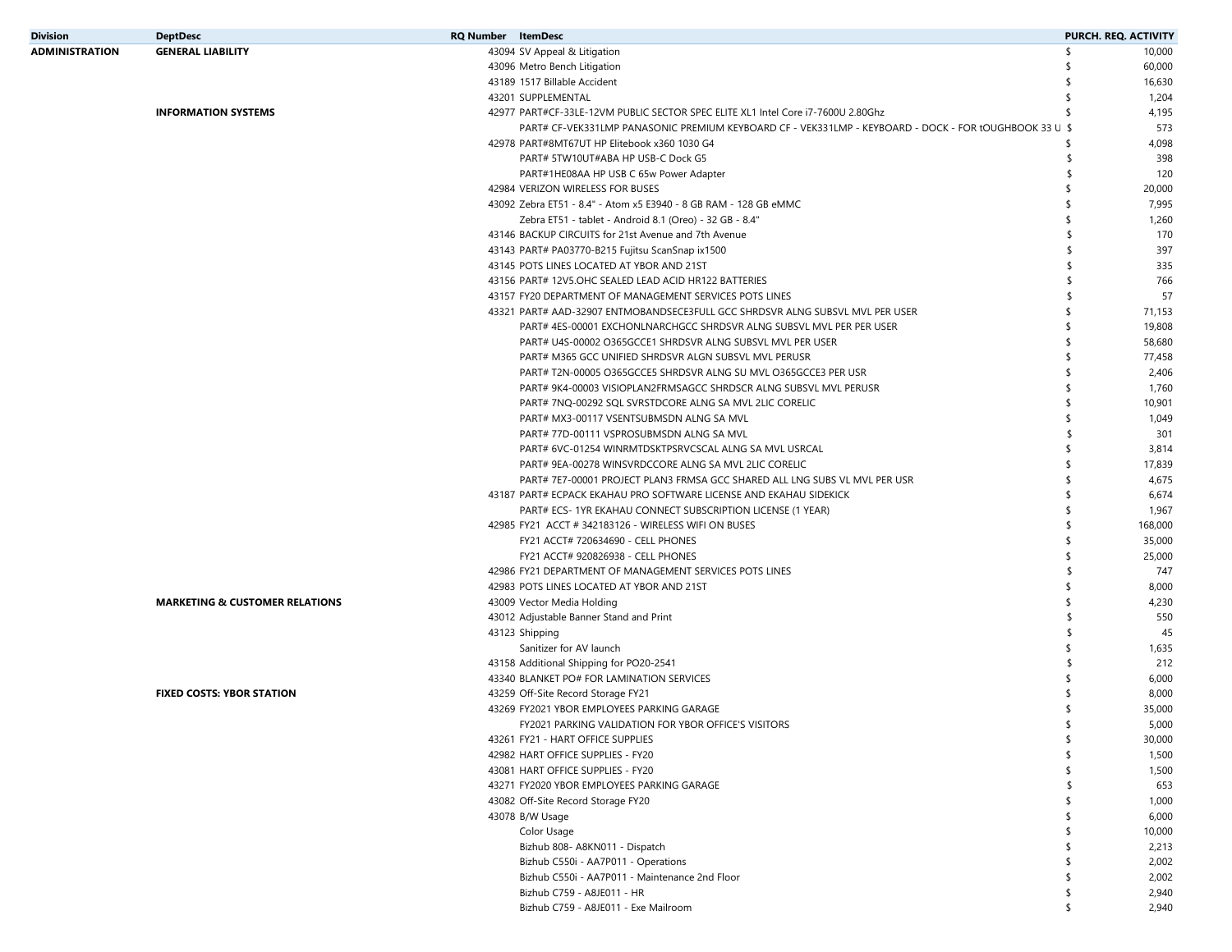| Division       | <b>DeptDesc</b>                           | <b>RQ Number</b> ItemDesc |                                                                                                        |     | PURCH. REQ. ACTIVITY |
|----------------|-------------------------------------------|---------------------------|--------------------------------------------------------------------------------------------------------|-----|----------------------|
| ADMINISTRATION | <b>GENERAL LIABILITY</b>                  |                           | 43094 SV Appeal & Litigation                                                                           | \$  | 10,000               |
|                |                                           |                           | 43096 Metro Bench Litigation                                                                           |     | 60,000               |
|                |                                           |                           | 43189 1517 Billable Accident                                                                           |     | 16,630               |
|                |                                           |                           | 43201 SUPPLEMENTAL                                                                                     |     | 1,204                |
|                | <b>INFORMATION SYSTEMS</b>                |                           | 42977 PART#CF-33LE-12VM PUBLIC SECTOR SPEC ELITE XL1 Intel Core i7-7600U 2.80Ghz                       |     | 4,195                |
|                |                                           |                           | PART# CF-VEK331LMP PANASONIC PREMIUM KEYBOARD CF - VEK331LMP - KEYBOARD - DOCK - FOR tOUGHBOOK 33 U \$ |     | 573                  |
|                |                                           |                           | 42978 PART#8MT67UT HP Elitebook x360 1030 G4                                                           | \$  | 4,098                |
|                |                                           |                           | PART# 5TW10UT#ABA HP USB-C Dock G5                                                                     | -\$ | 398                  |
|                |                                           |                           | PART#1HE08AA HP USB C 65w Power Adapter                                                                | -S  | 120                  |
|                |                                           |                           | 42984 VERIZON WIRELESS FOR BUSES                                                                       |     | 20,000               |
|                |                                           |                           | 43092 Zebra ET51 - 8.4" - Atom x5 E3940 - 8 GB RAM - 128 GB eMMC                                       |     | 7,995                |
|                |                                           |                           | Zebra ET51 - tablet - Android 8.1 (Oreo) - 32 GB - 8.4"                                                |     | 1,260                |
|                |                                           |                           | 43146 BACKUP CIRCUITS for 21st Avenue and 7th Avenue                                                   |     | 170                  |
|                |                                           |                           | 43143 PART# PA03770-B215 Fujitsu ScanSnap ix1500                                                       |     | 397                  |
|                |                                           |                           | 43145 POTS LINES LOCATED AT YBOR AND 21ST                                                              |     | 335                  |
|                |                                           |                           | 43156 PART# 12V5.OHC SEALED LEAD ACID HR122 BATTERIES                                                  |     | 766                  |
|                |                                           |                           |                                                                                                        |     |                      |
|                |                                           |                           | 43157 FY20 DEPARTMENT OF MANAGEMENT SERVICES POTS LINES                                                |     | 57                   |
|                |                                           |                           | 43321 PART# AAD-32907 ENTMOBANDSECE3FULL GCC SHRDSVR ALNG SUBSVL MVL PER USER                          |     | 71,153               |
|                |                                           |                           | PART# 4ES-00001 EXCHONLNARCHGCC SHRDSVR ALNG SUBSVL MVL PER PER USER                                   |     | 19,808               |
|                |                                           |                           | PART# U4S-00002 O365GCCE1 SHRDSVR ALNG SUBSVL MVL PER USER                                             |     | 58,680               |
|                |                                           |                           | PART# M365 GCC UNIFIED SHRDSVR ALGN SUBSVL MVL PERUSR                                                  |     | 77,458               |
|                |                                           |                           | PART# T2N-00005 O365GCCE5 SHRDSVR ALNG SU MVL O365GCCE3 PER USR                                        |     | 2,406                |
|                |                                           |                           | PART# 9K4-00003 VISIOPLAN2FRMSAGCC SHRDSCR ALNG SUBSVL MVL PERUSR                                      |     | 1,760                |
|                |                                           |                           | PART# 7NQ-00292 SQL SVRSTDCORE ALNG SA MVL 2LIC CORELIC                                                |     | 10,901               |
|                |                                           |                           | PART# MX3-00117 VSENTSUBMSDN ALNG SA MVL                                                               |     | 1,049                |
|                |                                           |                           | PART# 77D-00111 VSPROSUBMSDN ALNG SA MVL                                                               |     | 301                  |
|                |                                           |                           | PART# 6VC-01254 WINRMTDSKTPSRVCSCAL ALNG SA MVL USRCAL                                                 |     | 3,814                |
|                |                                           |                           | PART# 9EA-00278 WINSVRDCCORE ALNG SA MVL 2LIC CORELIC                                                  |     | 17,839               |
|                |                                           |                           | PART# 7E7-00001 PROJECT PLAN3 FRMSA GCC SHARED ALL LNG SUBS VL MVL PER USR                             |     | 4,675                |
|                |                                           |                           | 43187 PART# ECPACK EKAHAU PRO SOFTWARE LICENSE AND EKAHAU SIDEKICK                                     |     | 6,674                |
|                |                                           |                           | PART# ECS- 1YR EKAHAU CONNECT SUBSCRIPTION LICENSE (1 YEAR)                                            |     | 1,967                |
|                |                                           |                           | 42985 FY21 ACCT # 342183126 - WIRELESS WIFI ON BUSES                                                   |     | 168,000              |
|                |                                           |                           | FY21 ACCT# 720634690 - CELL PHONES                                                                     |     | 35,000               |
|                |                                           |                           | FY21 ACCT# 920826938 - CELL PHONES                                                                     |     | 25,000               |
|                |                                           |                           | 42986 FY21 DEPARTMENT OF MANAGEMENT SERVICES POTS LINES                                                |     | 747                  |
|                |                                           |                           | 42983 POTS LINES LOCATED AT YBOR AND 21ST                                                              |     | 8,000                |
|                | <b>MARKETING &amp; CUSTOMER RELATIONS</b> |                           | 43009 Vector Media Holding                                                                             |     | 4,230                |
|                |                                           |                           | 43012 Adjustable Banner Stand and Print                                                                |     | 550                  |
|                |                                           |                           | 43123 Shipping                                                                                         |     | 45                   |
|                |                                           |                           | Sanitizer for AV launch                                                                                |     | 1,635                |
|                |                                           |                           | 43158 Additional Shipping for PO20-2541                                                                |     | 212                  |
|                |                                           |                           |                                                                                                        |     |                      |
|                |                                           |                           | 43340 BLANKET PO# FOR LAMINATION SERVICES                                                              |     | 6,000                |
|                | <b>FIXED COSTS: YBOR STATION</b>          |                           | 43259 Off-Site Record Storage FY21                                                                     |     | 8,000                |
|                |                                           |                           | 43269 FY2021 YBOR EMPLOYEES PARKING GARAGE                                                             |     | 35,000               |
|                |                                           |                           | FY2021 PARKING VALIDATION FOR YBOR OFFICE'S VISITORS                                                   |     | 5,000                |
|                |                                           |                           | 43261 FY21 - HART OFFICE SUPPLIES                                                                      | \$  | 30,000               |
|                |                                           |                           | 42982 HART OFFICE SUPPLIES - FY20                                                                      | \$  | 1,500                |
|                |                                           |                           | 43081 HART OFFICE SUPPLIES - FY20                                                                      | \$  | 1,500                |
|                |                                           |                           | 43271 FY2020 YBOR EMPLOYEES PARKING GARAGE                                                             | \$. | 653                  |
|                |                                           |                           | 43082 Off-Site Record Storage FY20                                                                     |     | 1,000                |
|                |                                           |                           | 43078 B/W Usage                                                                                        | \$  | 6,000                |
|                |                                           |                           | Color Usage                                                                                            | \$  | 10,000               |
|                |                                           |                           | Bizhub 808- A8KN011 - Dispatch                                                                         |     | 2,213                |
|                |                                           |                           | Bizhub C550i - AA7P011 - Operations                                                                    | \$  | 2,002                |
|                |                                           |                           | Bizhub C550i - AA7P011 - Maintenance 2nd Floor                                                         | \$  | 2,002                |
|                |                                           |                           | Bizhub C759 - A8JE011 - HR                                                                             | \$  | 2,940                |
|                |                                           |                           | Bizhub C759 - A8JE011 - Exe Mailroom                                                                   | \$  | 2,940                |
|                |                                           |                           |                                                                                                        |     |                      |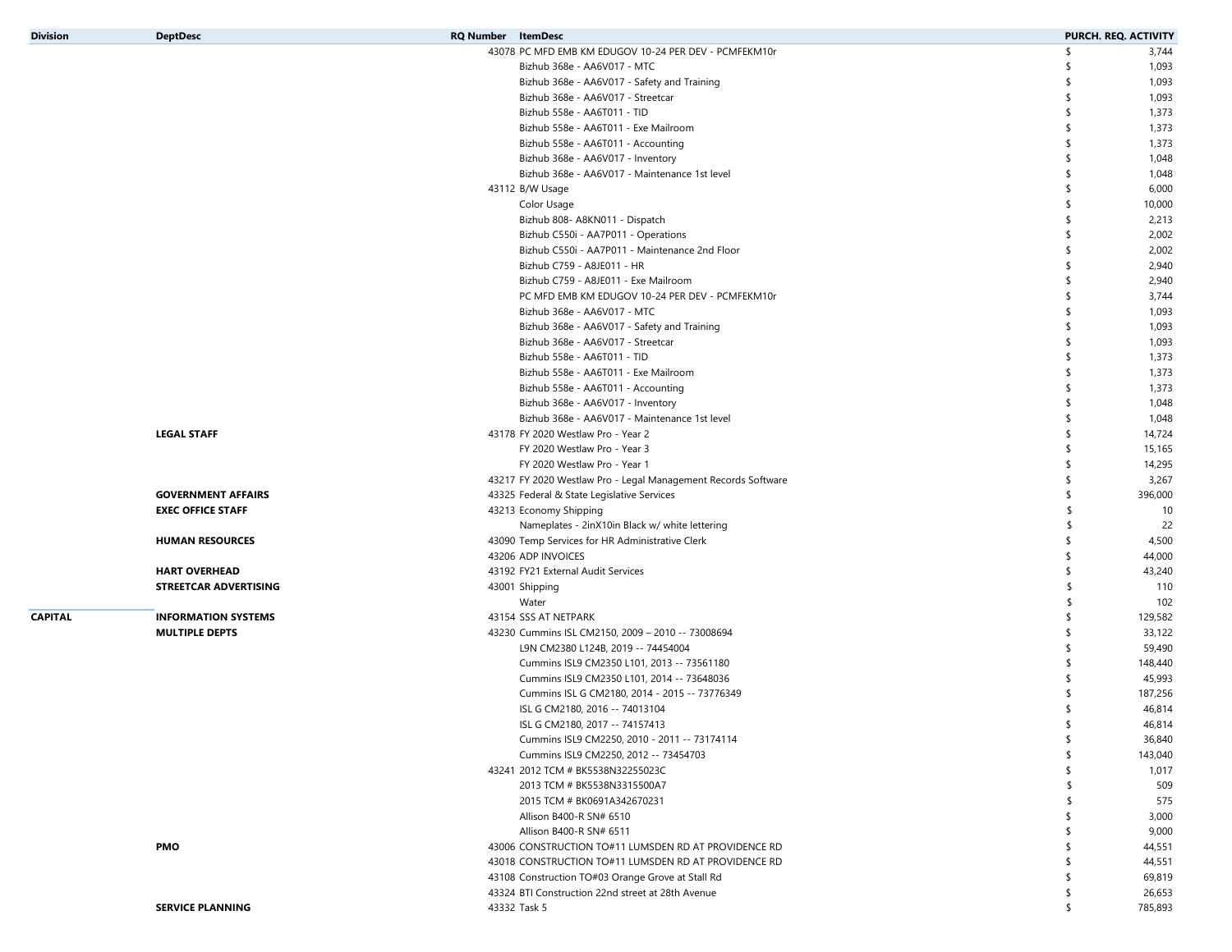| <b>Division</b> | <b>DeptDesc</b>            | <b>RQ Number</b> ItemDesc                                     |     | PURCH. REQ. ACTIVITY |
|-----------------|----------------------------|---------------------------------------------------------------|-----|----------------------|
|                 |                            | 43078 PC MFD EMB KM EDUGOV 10-24 PER DEV - PCMFEKM10r         | \$  | 3,744                |
|                 |                            | Bizhub 368e - AA6V017 - MTC                                   | -S  | 1,093                |
|                 |                            | Bizhub 368e - AA6V017 - Safety and Training                   |     | 1,093                |
|                 |                            | Bizhub 368e - AA6V017 - Streetcar                             | s.  | 1,093                |
|                 |                            | Bizhub 558e - AA6T011 - TID                                   | \$  | 1,373                |
|                 |                            | Bizhub 558e - AA6T011 - Exe Mailroom                          | \$  | 1,373                |
|                 |                            | Bizhub 558e - AA6T011 - Accounting                            | s.  | 1,373                |
|                 |                            | Bizhub 368e - AA6V017 - Inventory                             | \$. | 1,048                |
|                 |                            | Bizhub 368e - AA6V017 - Maintenance 1st level                 | \$  | 1,048                |
|                 |                            | 43112 B/W Usage                                               | s.  | 6,000                |
|                 |                            | Color Usage                                                   | \$. | 10,000               |
|                 |                            | Bizhub 808- A8KN011 - Dispatch                                | \$  | 2,213                |
|                 |                            | Bizhub C550i - AA7P011 - Operations                           | \$. | 2,002                |
|                 |                            | Bizhub C550i - AA7P011 - Maintenance 2nd Floor                | \$. | 2,002                |
|                 |                            | Bizhub C759 - A8JE011 - HR                                    | s.  | 2,940                |
|                 |                            | Bizhub C759 - A8JE011 - Exe Mailroom                          | \$  | 2,940                |
|                 |                            | PC MFD EMB KM EDUGOV 10-24 PER DEV - PCMFEKM10r               | \$. | 3,744                |
|                 |                            | Bizhub 368e - AA6V017 - MTC                                   | s.  | 1,093                |
|                 |                            |                                                               | \$. |                      |
|                 |                            | Bizhub 368e - AA6V017 - Safety and Training                   |     | 1,093                |
|                 |                            | Bizhub 368e - AA6V017 - Streetcar                             | \$  | 1,093                |
|                 |                            | Bizhub 558e - AA6T011 - TID                                   | \$  | 1,373                |
|                 |                            | Bizhub 558e - AA6T011 - Exe Mailroom                          | \$. | 1,373                |
|                 |                            | Bizhub 558e - AA6T011 - Accounting                            | \$  | 1,373                |
|                 |                            | Bizhub 368e - AA6V017 - Inventory                             | \$. | 1,048                |
|                 |                            | Bizhub 368e - AA6V017 - Maintenance 1st level                 | \$. | 1,048                |
|                 | <b>LEGAL STAFF</b>         | 43178 FY 2020 Westlaw Pro - Year 2                            | \$  | 14,724               |
|                 |                            | FY 2020 Westlaw Pro - Year 3                                  | s.  | 15,165               |
|                 |                            | FY 2020 Westlaw Pro - Year 1                                  | \$. | 14,295               |
|                 |                            | 43217 FY 2020 Westlaw Pro - Legal Management Records Software | s.  | 3,267                |
|                 | <b>GOVERNMENT AFFAIRS</b>  | 43325 Federal & State Legislative Services                    | \$. | 396,000              |
|                 | <b>EXEC OFFICE STAFF</b>   | 43213 Economy Shipping                                        | \$  | 10                   |
|                 |                            | Nameplates - 2inX10in Black w/ white lettering                | \$  | 22                   |
|                 | <b>HUMAN RESOURCES</b>     | 43090 Temp Services for HR Administrative Clerk               | \$. | 4,500                |
|                 |                            | 43206 ADP INVOICES                                            | \$  | 44,000               |
|                 | <b>HART OVERHEAD</b>       | 43192 FY21 External Audit Services                            |     | 43,240               |
|                 | STREETCAR ADVERTISING      | 43001 Shipping                                                | -\$ | 110                  |
|                 |                            | Water                                                         | \$  | 102                  |
| <b>CAPITAL</b>  | <b>INFORMATION SYSTEMS</b> | 43154 SSS AT NETPARK                                          | \$  | 129,582              |
|                 | <b>MULTIPLE DEPTS</b>      | 43230 Cummins ISL CM2150, 2009 - 2010 -- 73008694             | s.  | 33,122               |
|                 |                            | L9N CM2380 L124B, 2019 -- 74454004                            | s.  | 59,490               |
|                 |                            | Cummins ISL9 CM2350 L101, 2013 -- 73561180                    | -S  | 148,440              |
|                 |                            | Cummins ISL9 CM2350 L101, 2014 -- 73648036                    |     | 45,993               |
|                 |                            | Cummins ISL G CM2180, 2014 - 2015 -- 73776349                 | S   | 187,256              |
|                 |                            | ISL G CM2180, 2016 -- 74013104                                |     | 46,814               |
|                 |                            | ISL G CM2180, 2017 -- 74157413                                | \$  | 46,814               |
|                 |                            | Cummins ISL9 CM2250, 2010 - 2011 -- 73174114                  |     |                      |
|                 |                            |                                                               | \$  | 36,840               |
|                 |                            | Cummins ISL9 CM2250, 2012 -- 73454703                         | \$  | 143,040              |
|                 |                            | 43241 2012 TCM # BK5538N32255023C                             | \$  | 1,017                |
|                 |                            | 2013 TCM # BK5538N3315500A7                                   | \$  | 509                  |
|                 |                            | 2015 TCM # BK0691A342670231                                   | \$  | 575                  |
|                 |                            | Allison B400-R SN# 6510                                       | \$  | 3,000                |
|                 |                            | Allison B400-R SN# 6511                                       | \$  | 9,000                |
|                 | PMO                        | 43006 CONSTRUCTION TO#11 LUMSDEN RD AT PROVIDENCE RD          |     | 44,551               |
|                 |                            | 43018 CONSTRUCTION TO#11 LUMSDEN RD AT PROVIDENCE RD          | \$. | 44,551               |
|                 |                            | 43108 Construction TO#03 Orange Grove at Stall Rd             | \$  | 69,819               |
|                 |                            | 43324 BTI Construction 22nd street at 28th Avenue             | \$  | 26,653               |
|                 | <b>SERVICE PLANNING</b>    | 43332 Task 5                                                  | \$  | 785,893              |
|                 |                            |                                                               |     |                      |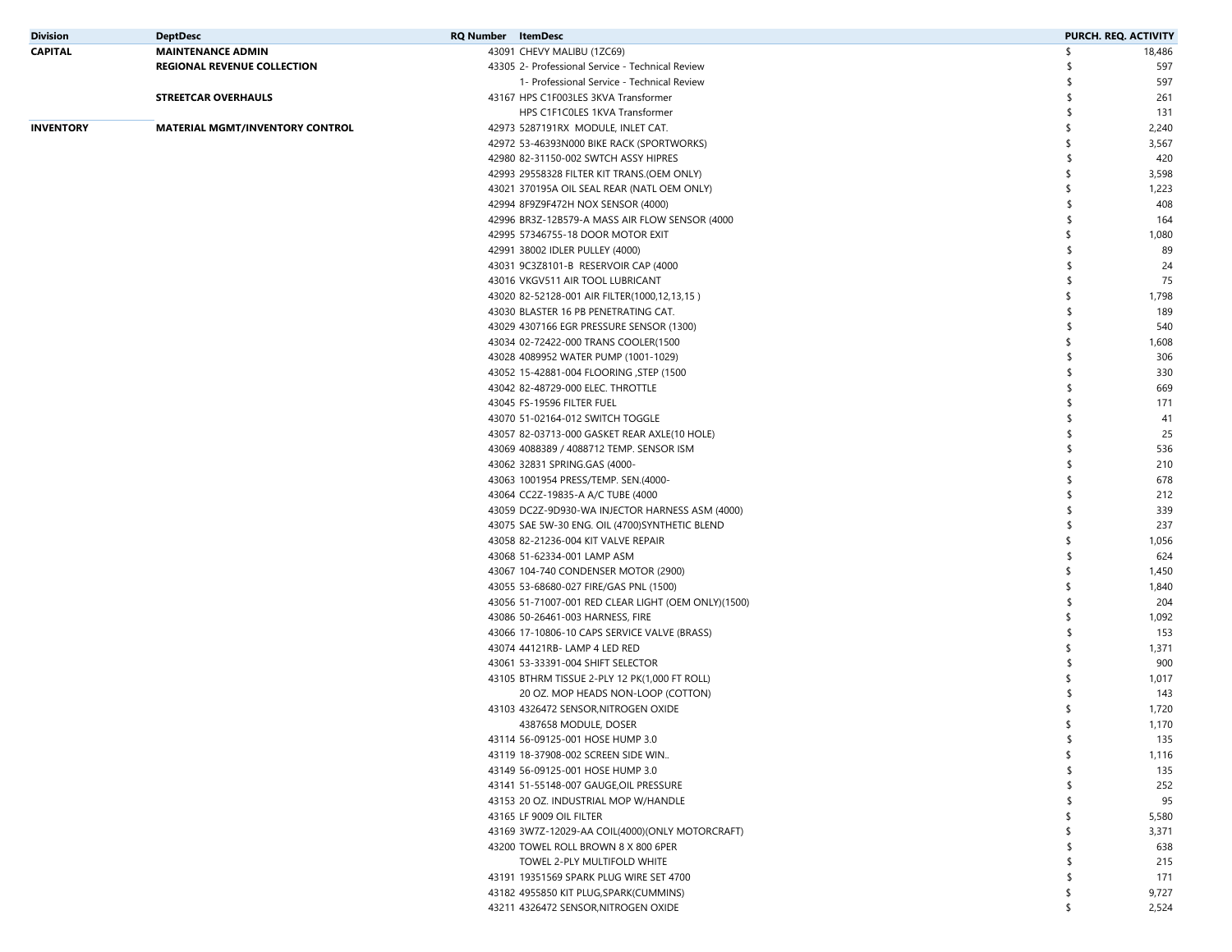| Division  | <b>DeptDesc</b>                        | <b>RQ Number</b> ItemDesc |                                                     | PURCH. REQ. ACTIVITY |        |
|-----------|----------------------------------------|---------------------------|-----------------------------------------------------|----------------------|--------|
| CAPITAL   | <b>MAINTENANCE ADMIN</b>               |                           | 43091 CHEVY MALIBU (1ZC69)                          | \$                   | 18,486 |
|           | <b>REGIONAL REVENUE COLLECTION</b>     |                           | 43305 2- Professional Service - Technical Review    |                      | 597    |
|           |                                        |                           | 1- Professional Service - Technical Review          |                      | 597    |
|           | <b>STREETCAR OVERHAULS</b>             |                           | 43167 HPS C1F003LES 3KVA Transformer                |                      | 261    |
|           |                                        |                           | HPS C1F1C0LES 1KVA Transformer                      |                      | 131    |
| INVENTORY | <b>MATERIAL MGMT/INVENTORY CONTROL</b> |                           | 42973 5287191RX MODULE, INLET CAT.                  |                      | 2,240  |
|           |                                        |                           | 42972 53-46393N000 BIKE RACK (SPORTWORKS)           |                      | 3,567  |
|           |                                        |                           | 42980 82-31150-002 SWTCH ASSY HIPRES                |                      | 420    |
|           |                                        |                           | 42993 29558328 FILTER KIT TRANS.(OEM ONLY)          |                      | 3,598  |
|           |                                        |                           | 43021 370195A OIL SEAL REAR (NATL OEM ONLY)         |                      | 1,223  |
|           |                                        |                           | 42994 8F9Z9F472H NOX SENSOR (4000)                  |                      | 408    |
|           |                                        |                           | 42996 BR3Z-12B579-A MASS AIR FLOW SENSOR (4000      |                      | 164    |
|           |                                        |                           |                                                     |                      |        |
|           |                                        |                           | 42995 57346755-18 DOOR MOTOR EXIT                   |                      | 1,080  |
|           |                                        |                           | 42991 38002 IDLER PULLEY (4000)                     |                      | 89     |
|           |                                        |                           | 43031 9C3Z8101-B RESERVOIR CAP (4000                |                      | 24     |
|           |                                        |                           | 43016 VKGV511 AIR TOOL LUBRICANT                    |                      | 75     |
|           |                                        |                           | 43020 82-52128-001 AIR FILTER(1000,12,13,15)        |                      | 1,798  |
|           |                                        |                           | 43030 BLASTER 16 PB PENETRATING CAT.                |                      | 189    |
|           |                                        |                           | 43029 4307166 EGR PRESSURE SENSOR (1300)            |                      | 540    |
|           |                                        |                           | 43034 02-72422-000 TRANS COOLER(1500                |                      | 1,608  |
|           |                                        |                           | 43028 4089952 WATER PUMP (1001-1029)                |                      | 306    |
|           |                                        |                           | 43052 15-42881-004 FLOORING , STEP (1500            |                      | 330    |
|           |                                        |                           | 43042 82-48729-000 ELEC. THROTTLE                   |                      | 669    |
|           |                                        |                           | 43045 FS-19596 FILTER FUEL                          |                      | 171    |
|           |                                        |                           | 43070 51-02164-012 SWITCH TOGGLE                    |                      | 41     |
|           |                                        |                           | 43057 82-03713-000 GASKET REAR AXLE(10 HOLE)        |                      | 25     |
|           |                                        |                           | 43069 4088389 / 4088712 TEMP. SENSOR ISM            |                      | 536    |
|           |                                        |                           | 43062 32831 SPRING.GAS (4000-                       |                      | 210    |
|           |                                        |                           | 43063 1001954 PRESS/TEMP. SEN.(4000-                |                      | 678    |
|           |                                        |                           | 43064 CC2Z-19835-A A/C TUBE (4000                   |                      | 212    |
|           |                                        |                           | 43059 DC2Z-9D930-WA INJECTOR HARNESS ASM (4000)     |                      | 339    |
|           |                                        |                           | 43075 SAE 5W-30 ENG. OIL (4700) SYNTHETIC BLEND     |                      | 237    |
|           |                                        |                           | 43058 82-21236-004 KIT VALVE REPAIR                 |                      | 1,056  |
|           |                                        |                           | 43068 51-62334-001 LAMP ASM                         |                      | 624    |
|           |                                        |                           | 43067 104-740 CONDENSER MOTOR (2900)                |                      | 1,450  |
|           |                                        |                           | 43055 53-68680-027 FIRE/GAS PNL (1500)              |                      | 1,840  |
|           |                                        |                           | 43056 51-71007-001 RED CLEAR LIGHT (OEM ONLY)(1500) |                      | 204    |
|           |                                        |                           | 43086 50-26461-003 HARNESS, FIRE                    |                      | 1,092  |
|           |                                        |                           | 43066 17-10806-10 CAPS SERVICE VALVE (BRASS)        |                      | 153    |
|           |                                        |                           | 43074 44121RB- LAMP 4 LED RED                       |                      | 1,371  |
|           |                                        |                           | 43061 53-33391-004 SHIFT SELECTOR                   |                      | 900    |
|           |                                        |                           | 43105 BTHRM TISSUE 2-PLY 12 PK(1,000 FT ROLL)       |                      | 1,017  |
|           |                                        |                           | 20 OZ. MOP HEADS NON-LOOP (COTTON)                  |                      | 143    |
|           |                                        |                           | 43103 4326472 SENSOR, NITROGEN OXIDE                |                      | 1,720  |
|           |                                        |                           | 4387658 MODULE, DOSER                               | \$                   | 1,170  |
|           |                                        |                           | 43114 56-09125-001 HOSE HUMP 3.0                    | \$                   | 135    |
|           |                                        |                           | 43119 18-37908-002 SCREEN SIDE WIN                  |                      | 1,116  |
|           |                                        |                           | 43149 56-09125-001 HOSE HUMP 3.0                    |                      | 135    |
|           |                                        |                           | 43141 51-55148-007 GAUGE, OIL PRESSURE              |                      | 252    |
|           |                                        |                           | 43153 20 OZ. INDUSTRIAL MOP W/HANDLE                |                      | 95     |
|           |                                        |                           | 43165 LF 9009 OIL FILTER                            |                      | 5,580  |
|           |                                        |                           | 43169 3W7Z-12029-AA COIL(4000)(ONLY MOTORCRAFT)     |                      | 3,371  |
|           |                                        |                           | 43200 TOWEL ROLL BROWN 8 X 800 6PER                 |                      | 638    |
|           |                                        |                           | TOWEL 2-PLY MULTIFOLD WHITE                         |                      | 215    |
|           |                                        |                           | 43191 19351569 SPARK PLUG WIRE SET 4700             |                      | 171    |
|           |                                        |                           | 43182 4955850 KIT PLUG, SPARK (CUMMINS)             |                      | 9,727  |
|           |                                        |                           | 43211 4326472 SENSOR, NITROGEN OXIDE                |                      | 2,524  |
|           |                                        |                           |                                                     |                      |        |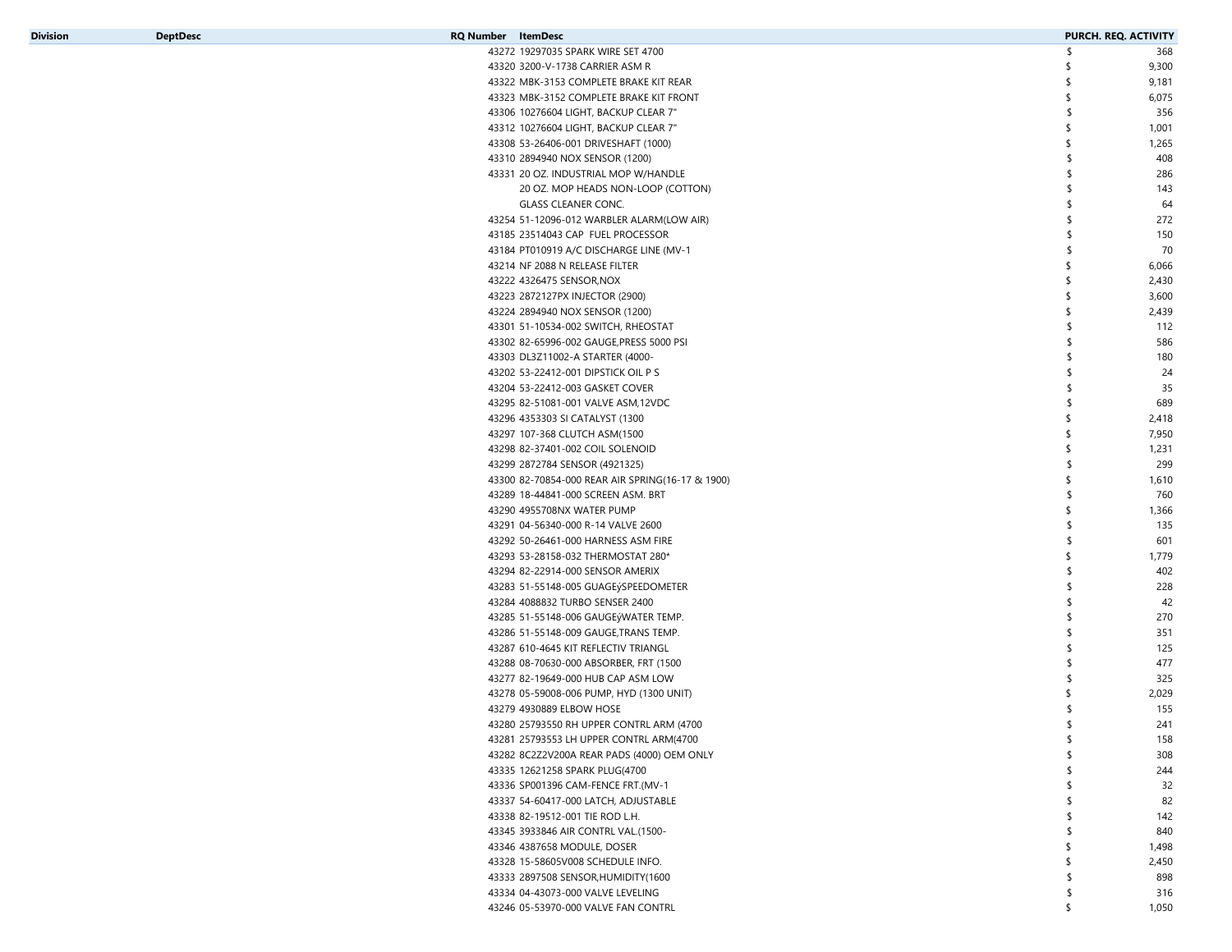| Division | <b>DeptDesc</b> | <b>RQ Number</b> ItemDesc                        | PURCH. REQ. ACTIVITY |       |
|----------|-----------------|--------------------------------------------------|----------------------|-------|
|          |                 | 43272 19297035 SPARK WIRE SET 4700               | -S                   | 368   |
|          |                 | 43320 3200-V-1738 CARRIER ASM R                  | \$                   | 9,300 |
|          |                 | 43322 MBK-3153 COMPLETE BRAKE KIT REAR           | \$                   | 9,181 |
|          |                 | 43323 MBK-3152 COMPLETE BRAKE KIT FRONT          | \$                   | 6,075 |
|          |                 | 43306 10276604 LIGHT, BACKUP CLEAR 7"            | \$                   | 356   |
|          |                 | 43312 10276604 LIGHT, BACKUP CLEAR 7"            | \$                   | 1,001 |
|          |                 | 43308 53-26406-001 DRIVESHAFT (1000)             | \$                   | 1,265 |
|          |                 | 43310 2894940 NOX SENSOR (1200)                  | \$                   | 408   |
|          |                 | 43331 20 OZ. INDUSTRIAL MOP W/HANDLE             | \$                   | 286   |
|          |                 | 20 OZ. MOP HEADS NON-LOOP (COTTON)               | \$                   | 143   |
|          |                 | <b>GLASS CLEANER CONC.</b>                       | \$                   | 64    |
|          |                 | 43254 51-12096-012 WARBLER ALARM(LOW AIR)        | \$                   | 272   |
|          |                 | 43185 23514043 CAP FUEL PROCESSOR                | $\mathsf{\$}$        | 150   |
|          |                 | 43184 PT010919 A/C DISCHARGE LINE (MV-1          | S.                   | 70    |
|          |                 | 43214 NF 2088 N RELEASE FILTER                   | \$                   | 6,066 |
|          |                 | 43222 4326475 SENSOR, NOX                        | \$                   | 2,430 |
|          |                 | 43223 2872127PX INJECTOR (2900)                  | \$                   | 3,600 |
|          |                 | 43224 2894940 NOX SENSOR (1200)                  | \$                   | 2,439 |
|          |                 | 43301 51-10534-002 SWITCH, RHEOSTAT              | \$                   | 112   |
|          |                 | 43302 82-65996-002 GAUGE, PRESS 5000 PSI         | \$                   | 586   |
|          |                 | 43303 DL3Z11002-A STARTER (4000-                 | \$                   | 180   |
|          |                 | 43202 53-22412-001 DIPSTICK OIL P S              | \$                   | 24    |
|          |                 | 43204 53-22412-003 GASKET COVER                  | \$                   | 35    |
|          |                 | 43295 82-51081-001 VALVE ASM, 12VDC              | \$                   | 689   |
|          |                 | 43296 4353303 SI CATALYST (1300                  | -\$                  | 2,418 |
|          |                 | 43297 107-368 CLUTCH ASM(1500                    | \$                   | 7,950 |
|          |                 | 43298 82-37401-002 COIL SOLENOID                 | \$                   | 1,231 |
|          |                 | 43299 2872784 SENSOR (4921325)                   | \$                   | 299   |
|          |                 |                                                  | \$                   | 1,610 |
|          |                 | 43300 82-70854-000 REAR AIR SPRING(16-17 & 1900) | \$                   |       |
|          |                 | 43289 18-44841-000 SCREEN ASM. BRT               |                      | 760   |
|          |                 | 43290 4955708NX WATER PUMP                       | \$<br>\$             | 1,366 |
|          |                 | 43291 04-56340-000 R-14 VALVE 2600               |                      | 135   |
|          |                 | 43292 50-26461-000 HARNESS ASM FIRE              | \$                   | 601   |
|          |                 | 43293 53-28158-032 THERMOSTAT 280*               | \$                   | 1,779 |
|          |                 | 43294 82-22914-000 SENSOR AMERIX                 | \$                   | 402   |
|          |                 | 43283 51-55148-005 GUAGEýSPEEDOMETER             | \$                   | 228   |
|          |                 | 43284 4088832 TURBO SENSER 2400                  | \$                   | 42    |
|          |                 | 43285 51-55148-006 GAUGEýWATER TEMP.             | \$                   | 270   |
|          |                 | 43286 51-55148-009 GAUGE, TRANS TEMP.            | \$                   | 351   |
|          |                 | 43287 610-4645 KIT REFLECTIV TRIANGL             | S.                   | 125   |
|          |                 | 43288 08-70630-000 ABSORBER, FRT (1500           | \$                   | 477   |
|          |                 | 43277 82-19649-000 HUB CAP ASM LOW               | \$                   | 325   |
|          |                 | 43278 05-59008-006 PUMP, HYD (1300 UNIT)         |                      | 2,029 |
|          |                 | 43279 4930889 ELBOW HOSE                         | -\$                  | 155   |
|          |                 | 43280 25793550 RH UPPER CONTRL ARM (4700         | \$                   | 241   |
|          |                 | 43281 25793553 LH UPPER CONTRL ARM(4700          | \$                   | 158   |
|          |                 | 43282 8C2Z2V200A REAR PADS (4000) OEM ONLY       | \$                   | 308   |
|          |                 | 43335 12621258 SPARK PLUG(4700                   | \$                   | 244   |
|          |                 | 43336 SP001396 CAM-FENCE FRT.(MV-1               |                      | 32    |
|          |                 | 43337 54-60417-000 LATCH, ADJUSTABLE             |                      | 82    |
|          |                 | 43338 82-19512-001 TIE ROD L.H.                  | S                    | 142   |
|          |                 | 43345 3933846 AIR CONTRL VAL.(1500-              | \$                   | 840   |
|          |                 | 43346 4387658 MODULE, DOSER                      | \$                   | 1,498 |
|          |                 | 43328 15-58605V008 SCHEDULE INFO.                |                      | 2,450 |
|          |                 | 43333 2897508 SENSOR, HUMIDITY (1600             | \$                   | 898   |
|          |                 | 43334 04-43073-000 VALVE LEVELING                | \$                   | 316   |
|          |                 | 43246 05-53970-000 VALVE FAN CONTRL              | \$                   | 1,050 |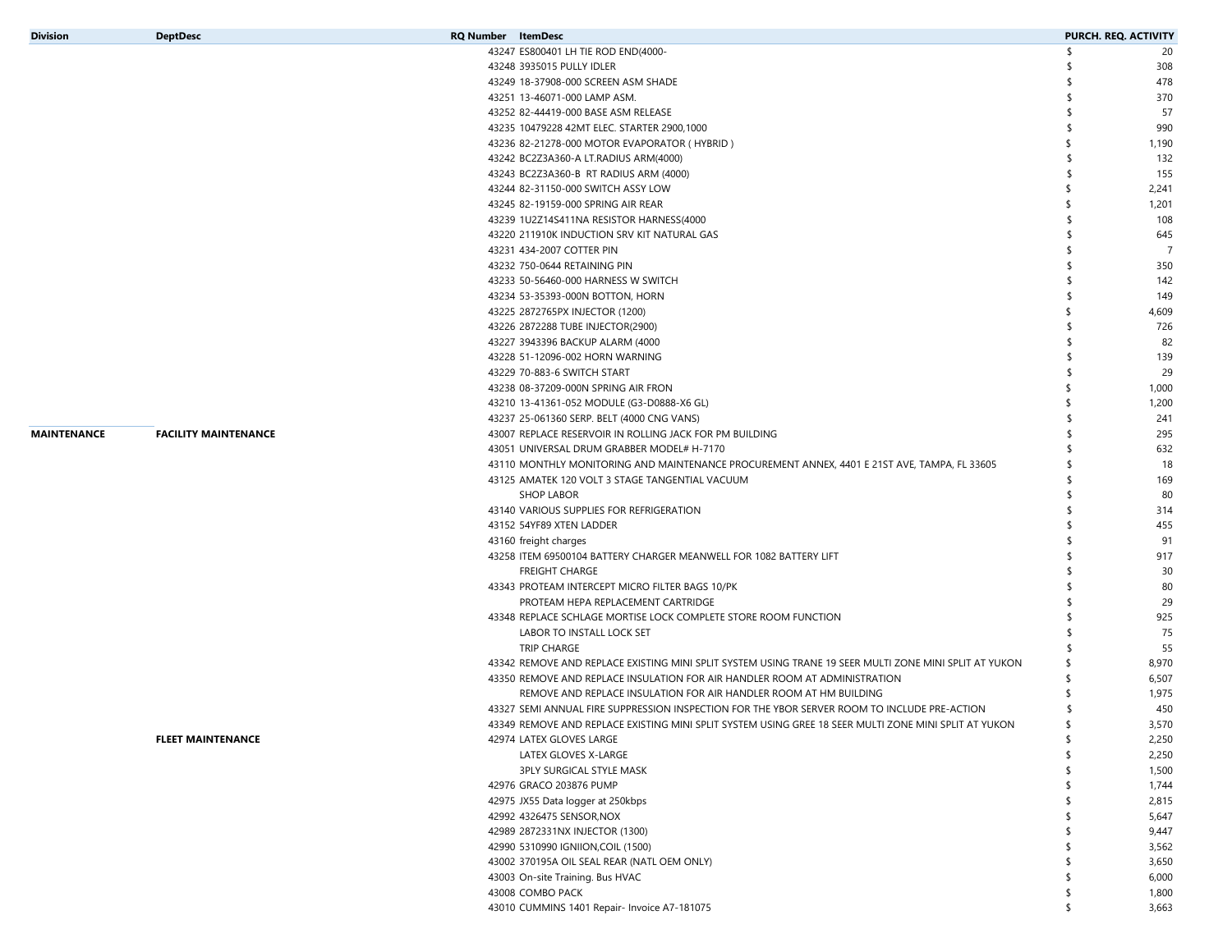| <b>Division</b>    | <b>DeptDesc</b>             | <b>RQ Number</b> ItemDesc                                                                              | PURCH. REQ. ACTIVITY |                |
|--------------------|-----------------------------|--------------------------------------------------------------------------------------------------------|----------------------|----------------|
|                    |                             | 43247 ES800401 LH TIE ROD END(4000-                                                                    | -S                   | 20             |
|                    |                             | 43248 3935015 PULLY IDLER                                                                              | S                    | 308            |
|                    |                             | 43249 18-37908-000 SCREEN ASM SHADE                                                                    |                      | 478            |
|                    |                             | 43251 13-46071-000 LAMP ASM.                                                                           |                      | 370            |
|                    |                             | 43252 82-44419-000 BASE ASM RELEASE                                                                    |                      | 57             |
|                    |                             | 43235 10479228 42MT ELEC. STARTER 2900,1000                                                            |                      | 990            |
|                    |                             | 43236 82-21278-000 MOTOR EVAPORATOR (HYBRID)                                                           |                      | 1,190          |
|                    |                             | 43242 BC2Z3A360-A LT.RADIUS ARM(4000)                                                                  |                      | 132            |
|                    |                             | 43243 BC2Z3A360-B RT RADIUS ARM (4000)                                                                 |                      | 155            |
|                    |                             | 43244 82-31150-000 SWITCH ASSY LOW                                                                     |                      | 2,241          |
|                    |                             | 43245 82-19159-000 SPRING AIR REAR                                                                     |                      | 1,201          |
|                    |                             | 43239 1U2Z14S411NA RESISTOR HARNESS(4000                                                               |                      | 108            |
|                    |                             | 43220 211910K INDUCTION SRV KIT NATURAL GAS                                                            |                      | 645            |
|                    |                             | 43231 434-2007 COTTER PIN                                                                              |                      | $\overline{7}$ |
|                    |                             | 43232 750-0644 RETAINING PIN                                                                           |                      | 350            |
|                    |                             | 43233 50-56460-000 HARNESS W SWITCH                                                                    |                      | 142            |
|                    |                             | 43234 53-35393-000N BOTTON, HORN                                                                       |                      | 149            |
|                    |                             | 43225 2872765PX INJECTOR (1200)                                                                        |                      | 4,609          |
|                    |                             | 43226 2872288 TUBE INJECTOR(2900)                                                                      |                      | 726            |
|                    |                             | 43227 3943396 BACKUP ALARM (4000                                                                       |                      | 82             |
|                    |                             | 43228 51-12096-002 HORN WARNING                                                                        |                      | 139            |
|                    |                             | 43229 70-883-6 SWITCH START                                                                            |                      | 29             |
|                    |                             | 43238 08-37209-000N SPRING AIR FRON                                                                    |                      | 1,000          |
|                    |                             | 43210 13-41361-052 MODULE (G3-D0888-X6 GL)                                                             |                      | 1,200          |
|                    |                             | 43237 25-061360 SERP. BELT (4000 CNG VANS)                                                             |                      | 241            |
| <b>MAINTENANCE</b> | <b>FACILITY MAINTENANCE</b> | 43007 REPLACE RESERVOIR IN ROLLING JACK FOR PM BUILDING                                                |                      | 295            |
|                    |                             | 43051 UNIVERSAL DRUM GRABBER MODEL# H-7170                                                             |                      | 632            |
|                    |                             | 43110 MONTHLY MONITORING AND MAINTENANCE PROCUREMENT ANNEX, 4401 E 21ST AVE, TAMPA, FL 33605           |                      | 18             |
|                    |                             | 43125 AMATEK 120 VOLT 3 STAGE TANGENTIAL VACUUM                                                        |                      | 169            |
|                    |                             | <b>SHOP LABOR</b>                                                                                      |                      | 80             |
|                    |                             | 43140 VARIOUS SUPPLIES FOR REFRIGERATION                                                               |                      | 314            |
|                    |                             | 43152 54YF89 XTEN LADDER                                                                               |                      | 455            |
|                    |                             | 43160 freight charges                                                                                  |                      | 91             |
|                    |                             | 43258 ITEM 69500104 BATTERY CHARGER MEANWELL FOR 1082 BATTERY LIFT                                     |                      | 917            |
|                    |                             | <b>FREIGHT CHARGE</b>                                                                                  |                      | 30             |
|                    |                             | 43343 PROTEAM INTERCEPT MICRO FILTER BAGS 10/PK                                                        |                      | 80             |
|                    |                             | PROTEAM HEPA REPLACEMENT CARTRIDGE                                                                     |                      | 29             |
|                    |                             | 43348 REPLACE SCHLAGE MORTISE LOCK COMPLETE STORE ROOM FUNCTION                                        |                      | 925            |
|                    |                             | LABOR TO INSTALL LOCK SET                                                                              |                      | 75             |
|                    |                             | <b>TRIP CHARGE</b>                                                                                     |                      | 55             |
|                    |                             | 43342 REMOVE AND REPLACE EXISTING MINI SPLIT SYSTEM USING TRANE 19 SEER MULTI ZONE MINI SPLIT AT YUKON |                      | 8,970          |
|                    |                             | 43350 REMOVE AND REPLACE INSULATION FOR AIR HANDLER ROOM AT ADMINISTRATION                             |                      | 6,507          |
|                    |                             | REMOVE AND REPLACE INSULATION FOR AIR HANDLER ROOM AT HM BUILDING                                      |                      | 1,975          |
|                    |                             | 43327 SEMI ANNUAL FIRE SUPPRESSION INSPECTION FOR THE YBOR SERVER ROOM TO INCLUDE PRE-ACTION           |                      | 450            |
|                    |                             | 43349 REMOVE AND REPLACE EXISTING MINI SPLIT SYSTEM USING GREE 18 SEER MULTI ZONE MINI SPLIT AT YUKON  | \$                   | 3,570          |
|                    | <b>FLEET MAINTENANCE</b>    | 42974 LATEX GLOVES LARGE                                                                               | \$                   | 2,250          |
|                    |                             | LATEX GLOVES X-LARGE                                                                                   | \$                   | 2,250          |
|                    |                             | 3PLY SURGICAL STYLE MASK                                                                               |                      | 1,500          |
|                    |                             | 42976 GRACO 203876 PUMP                                                                                |                      | 1,744          |
|                    |                             | 42975 JX55 Data logger at 250kbps                                                                      |                      | 2,815          |
|                    |                             | 42992 4326475 SENSOR, NOX                                                                              |                      | 5,647          |
|                    |                             | 42989 2872331NX INJECTOR (1300)                                                                        |                      | 9,447          |
|                    |                             | 42990 5310990 IGNIION, COIL (1500)                                                                     |                      | 3,562          |
|                    |                             | 43002 370195A OIL SEAL REAR (NATL OEM ONLY)                                                            |                      | 3,650          |
|                    |                             | 43003 On-site Training. Bus HVAC                                                                       |                      | 6,000          |
|                    |                             | 43008 COMBO PACK                                                                                       |                      | 1,800          |
|                    |                             | 43010 CUMMINS 1401 Repair- Invoice A7-181075                                                           | \$                   | 3,663          |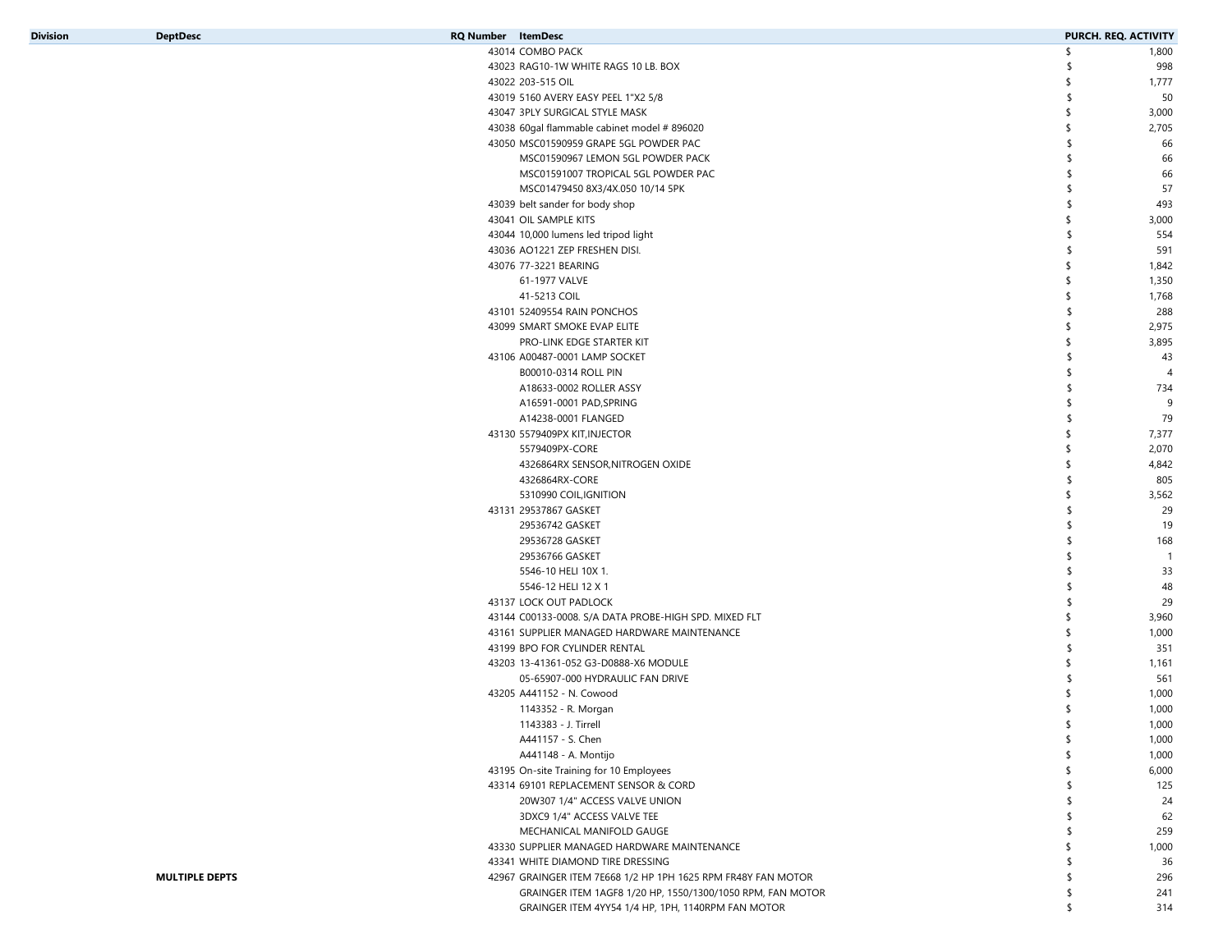| Division | <b>DeptDesc</b>       | <b>RQ Number</b> ItemDesc |                                                               | PURCH. REQ. ACTIVITY |                |
|----------|-----------------------|---------------------------|---------------------------------------------------------------|----------------------|----------------|
|          |                       |                           | 43014 COMBO PACK                                              | \$                   | 1,800          |
|          |                       |                           | 43023 RAG10-1W WHITE RAGS 10 LB. BOX                          |                      | 998            |
|          |                       |                           | 43022 203-515 OIL                                             |                      | 1,777          |
|          |                       |                           | 43019 5160 AVERY EASY PEEL 1"X2 5/8                           |                      | 50             |
|          |                       |                           |                                                               |                      |                |
|          |                       |                           | 43047 3PLY SURGICAL STYLE MASK                                |                      | 3,000          |
|          |                       |                           | 43038 60gal flammable cabinet model #896020                   |                      | 2,705          |
|          |                       |                           | 43050 MSC01590959 GRAPE 5GL POWDER PAC                        |                      | 66             |
|          |                       |                           | MSC01590967 LEMON 5GL POWDER PACK                             |                      | 66             |
|          |                       |                           | MSC01591007 TROPICAL 5GL POWDER PAC                           |                      | 66             |
|          |                       |                           | MSC01479450 8X3/4X.050 10/14 5PK                              |                      | 57             |
|          |                       |                           | 43039 belt sander for body shop                               |                      | 493            |
|          |                       |                           | 43041 OIL SAMPLE KITS                                         | S                    | 3,000          |
|          |                       |                           | 43044 10,000 lumens led tripod light                          |                      | 554            |
|          |                       |                           |                                                               |                      |                |
|          |                       |                           | 43036 AO1221 ZEP FRESHEN DISI.                                |                      | 591            |
|          |                       |                           | 43076 77-3221 BEARING                                         |                      | 1,842          |
|          |                       |                           | 61-1977 VALVE                                                 |                      | 1,350          |
|          |                       |                           | 41-5213 COIL                                                  |                      | 1,768          |
|          |                       |                           | 43101 52409554 RAIN PONCHOS                                   |                      | 288            |
|          |                       |                           | 43099 SMART SMOKE EVAP ELITE                                  |                      | 2,975          |
|          |                       |                           | PRO-LINK EDGE STARTER KIT                                     |                      | 3,895          |
|          |                       |                           | 43106 A00487-0001 LAMP SOCKET                                 |                      | 43             |
|          |                       |                           | B00010-0314 ROLL PIN                                          |                      | $\overline{4}$ |
|          |                       |                           | A18633-0002 ROLLER ASSY                                       |                      | 734            |
|          |                       |                           |                                                               |                      |                |
|          |                       |                           | A16591-0001 PAD, SPRING                                       |                      | 9              |
|          |                       |                           | A14238-0001 FLANGED                                           |                      | 79             |
|          |                       |                           | 43130 5579409PX KIT, INJECTOR                                 |                      | 7,377          |
|          |                       |                           | 5579409PX-CORE                                                |                      | 2,070          |
|          |                       |                           | 4326864RX SENSOR, NITROGEN OXIDE                              |                      | 4,842          |
|          |                       |                           | 4326864RX-CORE                                                |                      | 805            |
|          |                       |                           | 5310990 COIL, IGNITION                                        |                      | 3,562          |
|          |                       |                           | 43131 29537867 GASKET                                         | -S                   | 29             |
|          |                       |                           | 29536742 GASKET                                               |                      | 19             |
|          |                       |                           | 29536728 GASKET                                               |                      | 168            |
|          |                       |                           | 29536766 GASKET                                               |                      | $\overline{1}$ |
|          |                       |                           | 5546-10 HELI 10X 1.                                           |                      | 33             |
|          |                       |                           | 5546-12 HELI 12 X 1                                           |                      | 48             |
|          |                       |                           |                                                               |                      |                |
|          |                       |                           | 43137 LOCK OUT PADLOCK                                        | S                    | 29             |
|          |                       |                           | 43144 C00133-0008. S/A DATA PROBE-HIGH SPD. MIXED FLT         |                      | 3,960          |
|          |                       |                           | 43161 SUPPLIER MANAGED HARDWARE MAINTENANCE                   | S                    | 1,000          |
|          |                       |                           | 43199 BPO FOR CYLINDER RENTAL                                 |                      | 351            |
|          |                       |                           | 43203 13-41361-052 G3-D0888-X6 MODULE                         | \$                   | 1,161          |
|          |                       |                           | 05-65907-000 HYDRAULIC FAN DRIVE                              |                      | 561            |
|          |                       |                           | 43205 A441152 - N. Cowood                                     |                      | 1,000          |
|          |                       |                           | 1143352 - R. Morgan                                           |                      | 1,000          |
|          |                       |                           | 1143383 - J. Tirrell                                          | \$                   | 1,000          |
|          |                       |                           | A441157 - S. Chen                                             | \$                   | 1,000          |
|          |                       |                           | A441148 - A. Montijo                                          | S                    | 1,000          |
|          |                       |                           | 43195 On-site Training for 10 Employees                       |                      | 6,000          |
|          |                       |                           |                                                               |                      |                |
|          |                       |                           | 43314 69101 REPLACEMENT SENSOR & CORD                         |                      | 125            |
|          |                       |                           | 20W307 1/4" ACCESS VALVE UNION                                |                      | 24             |
|          |                       |                           | 3DXC9 1/4" ACCESS VALVE TEE                                   |                      | 62             |
|          |                       |                           | MECHANICAL MANIFOLD GAUGE                                     |                      | 259            |
|          |                       |                           | 43330 SUPPLIER MANAGED HARDWARE MAINTENANCE                   |                      | 1,000          |
|          |                       |                           | 43341 WHITE DIAMOND TIRE DRESSING                             |                      | 36             |
|          | <b>MULTIPLE DEPTS</b> |                           | 42967 GRAINGER ITEM 7E668 1/2 HP 1PH 1625 RPM FR48Y FAN MOTOR |                      | 296            |
|          |                       |                           | GRAINGER ITEM 1AGF8 1/20 HP, 1550/1300/1050 RPM, FAN MOTOR    | S                    | 241            |
|          |                       |                           | GRAINGER ITEM 4YY54 1/4 HP, 1PH, 1140RPM FAN MOTOR            | \$                   | 314            |
|          |                       |                           |                                                               |                      |                |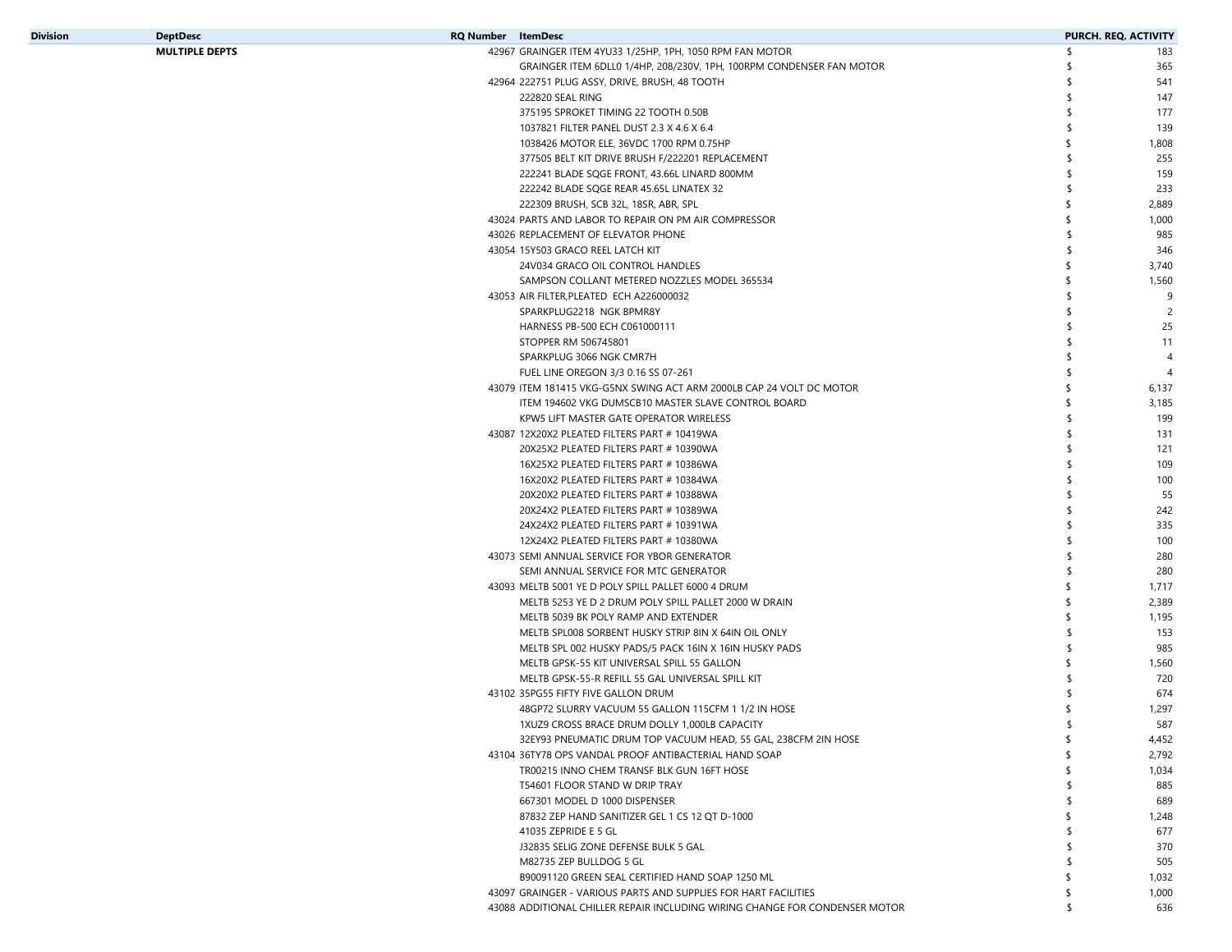| <b>Division</b> | <b>DeptDesc</b>       | <b>RQ Number</b> ItemDesc |                                                                      |     | PURCH. REQ. ACTIVITY |
|-----------------|-----------------------|---------------------------|----------------------------------------------------------------------|-----|----------------------|
|                 | <b>MULTIPLE DEPTS</b> |                           | 42967 GRAINGER ITEM 4YU33 1/25HP, 1PH, 1050 RPM FAN MOTOR            | \$. | 183                  |
|                 |                       |                           | GRAINGER ITEM 6DLL0 1/4HP, 208/230V, 1PH, 100RPM CONDENSER FAN MOTOR |     | 365                  |
|                 |                       |                           | 42964 222751 PLUG ASSY, DRIVE, BRUSH, 48 TOOTH                       |     | 541                  |
|                 |                       |                           | 222820 SEAL RING                                                     |     | 147                  |
|                 |                       |                           | 375195 SPROKET TIMING 22 TOOTH 0.50B                                 |     | 177                  |
|                 |                       |                           | 1037821 FILTER PANEL DUST 2.3 X 4.6 X 6.4                            |     | 139                  |
|                 |                       |                           | 1038426 MOTOR ELE. 36VDC 1700 RPM 0.75HP                             |     | 1,808                |
|                 |                       |                           | 377505 BELT KIT DRIVE BRUSH F/222201 REPLACEMENT                     |     | 255                  |
|                 |                       |                           | 222241 BLADE SQGE FRONT, 43.66L LINARD 800MM                         |     | 159                  |
|                 |                       |                           | 222242 BLADE SOGE REAR 45.65L LINATEX 32                             |     | 233                  |
|                 |                       |                           | 222309 BRUSH, SCB 32L, 18SR, ABR, SPL                                | \$  | 2,889                |
|                 |                       |                           | 43024 PARTS AND LABOR TO REPAIR ON PM AIR COMPRESSOR                 | \$  | 1,000                |
|                 |                       |                           | 43026 REPLACEMENT OF ELEVATOR PHONE                                  | \$. | 985                  |
|                 |                       |                           | 43054 15Y503 GRACO REEL LATCH KIT                                    |     | 346                  |
|                 |                       |                           | 24V034 GRACO OIL CONTROL HANDLES                                     | \$  | 3,740                |
|                 |                       |                           | SAMPSON COLLANT METERED NOZZLES MODEL 365534                         | \$  | 1,560                |
|                 |                       |                           | 43053 AIR FILTER, PLEATED ECH A226000032                             | \$  | 9                    |
|                 |                       |                           | SPARKPLUG2218 NGK BPMR8Y                                             |     |                      |
|                 |                       |                           | HARNESS PB-500 ECH C061000111                                        |     | 25                   |
|                 |                       |                           | STOPPER RM 506745801                                                 |     | 11                   |
|                 |                       |                           | SPARKPLUG 3066 NGK CMR7H                                             |     |                      |
|                 |                       |                           | FUEL LINE OREGON 3/3 0.16 SS 07-261                                  |     |                      |
|                 |                       |                           | 43079 ITEM 181415 VKG-G5NX SWING ACT ARM 2000LB CAP 24 VOLT DC MOTOR |     | 6,137                |
|                 |                       |                           | ITEM 194602 VKG DUMSCB10 MASTER SLAVE CONTROL BOARD                  |     | 3,185                |
|                 |                       |                           | KPW5 LIFT MASTER GATE OPERATOR WIRELESS                              |     | 199                  |
|                 |                       |                           | 43087 12X20X2 PLEATED FILTERS PART # 10419WA                         |     | 131                  |
|                 |                       |                           | 20X25X2 PLEATED FILTERS PART # 10390WA                               |     | 121                  |
|                 |                       |                           | 16X25X2 PLEATED FILTERS PART # 10386WA                               |     | 109                  |
|                 |                       |                           | 16X20X2 PLEATED FILTERS PART # 10384WA                               |     | 100                  |
|                 |                       |                           | 20X20X2 PLEATED FILTERS PART # 10388WA                               |     | 55                   |
|                 |                       |                           | 20X24X2 PLEATED FILTERS PART # 10389WA                               |     | 242                  |
|                 |                       |                           | 24X24X2 PLEATED FILTERS PART # 10391WA                               |     | 335                  |
|                 |                       |                           | 12X24X2 PLEATED FILTERS PART # 10380WA                               |     | 100                  |
|                 |                       |                           | 43073 SEMI ANNUAL SERVICE FOR YBOR GENERATOR                         |     | 280                  |
|                 |                       |                           | SEMI ANNUAL SERVICE FOR MTC GENERATOR                                |     | 280                  |
|                 |                       |                           | 43093 MELTB 5001 YE D POLY SPILL PALLET 6000 4 DRUM                  |     | 1,717                |
|                 |                       |                           | MELTB 5253 YE D 2 DRUM POLY SPILL PALLET 2000 W DRAIN                | \$  | 2,389                |
|                 |                       |                           | MELTB 5039 BK POLY RAMP AND EXTENDER                                 | \$  | 1,195                |
|                 |                       |                           | MELTB SPL008 SORBENT HUSKY STRIP 8IN X 64IN OIL ONLY                 |     | 153                  |
|                 |                       |                           | MELTB SPL 002 HUSKY PADS/5 PACK 16IN X 16IN HUSKY PADS               |     | 985                  |
|                 |                       |                           | MELTB GPSK-55 KIT UNIVERSAL SPILL 55 GALLON                          |     | 1,560                |
|                 |                       |                           | MELTB GPSK-55-R REFILL 55 GAL UNIVERSAL SPILL KIT                    |     | 720                  |
|                 |                       |                           | 43102 35PG55 FIFTY FIVE GALLON DRUM                                  |     | 674                  |
|                 |                       |                           | 48GP72 SLURRY VACUUM 55 GALLON 115CFM 1 1/2 IN HOSE                  |     | 1,297                |
|                 |                       |                           | 1XUZ9 CROSS BRACE DRUM DOLLY 1,000LB CAPACITY                        |     | 587                  |
|                 |                       |                           | 32EY93 PNEUMATIC DRUM TOP VACUUM HEAD, 55 GAL, 238CFM 2IN HOSE       | \$  | 4,452                |
|                 |                       |                           | 43104 36TY78 OPS VANDAL PROOF ANTIBACTERIAL HAND SOAP                | \$  | 2,792                |
|                 |                       |                           | TR00215 INNO CHEM TRANSF BLK GUN 16FT HOSE                           | \$  | 1,034                |
|                 |                       |                           | T54601 FLOOR STAND W DRIP TRAY                                       | \$  | 885                  |
|                 |                       |                           | 667301 MODEL D 1000 DISPENSER                                        | \$  | 689                  |
|                 |                       |                           | 87832 ZEP HAND SANITIZER GEL 1 CS 12 QT D-1000                       | \$  | 1,248                |
|                 |                       |                           | 41035 ZEPRIDE E 5 GL                                                 | \$  | 677                  |
|                 |                       |                           | J32835 SELIG ZONE DEFENSE BULK 5 GAL                                 | \$  | 370                  |
|                 |                       |                           | M82735 ZEP BULLDOG 5 GL                                              | \$  | 505                  |

B90091120 GREEN SEAL CERTIFIED HAND SOAP 1250 ML

 $\frac{1}{3}$  1,032

43097 GRAINGER - VARIOUS PARTS AND SUPPLIES FOR HART FACILITIES \$ 1,000 43088 ADDITIONAL CHILLER REPAIR INCLUDING WIRING CHANGE FOR CONDENSER MOTOR \$ \$ 636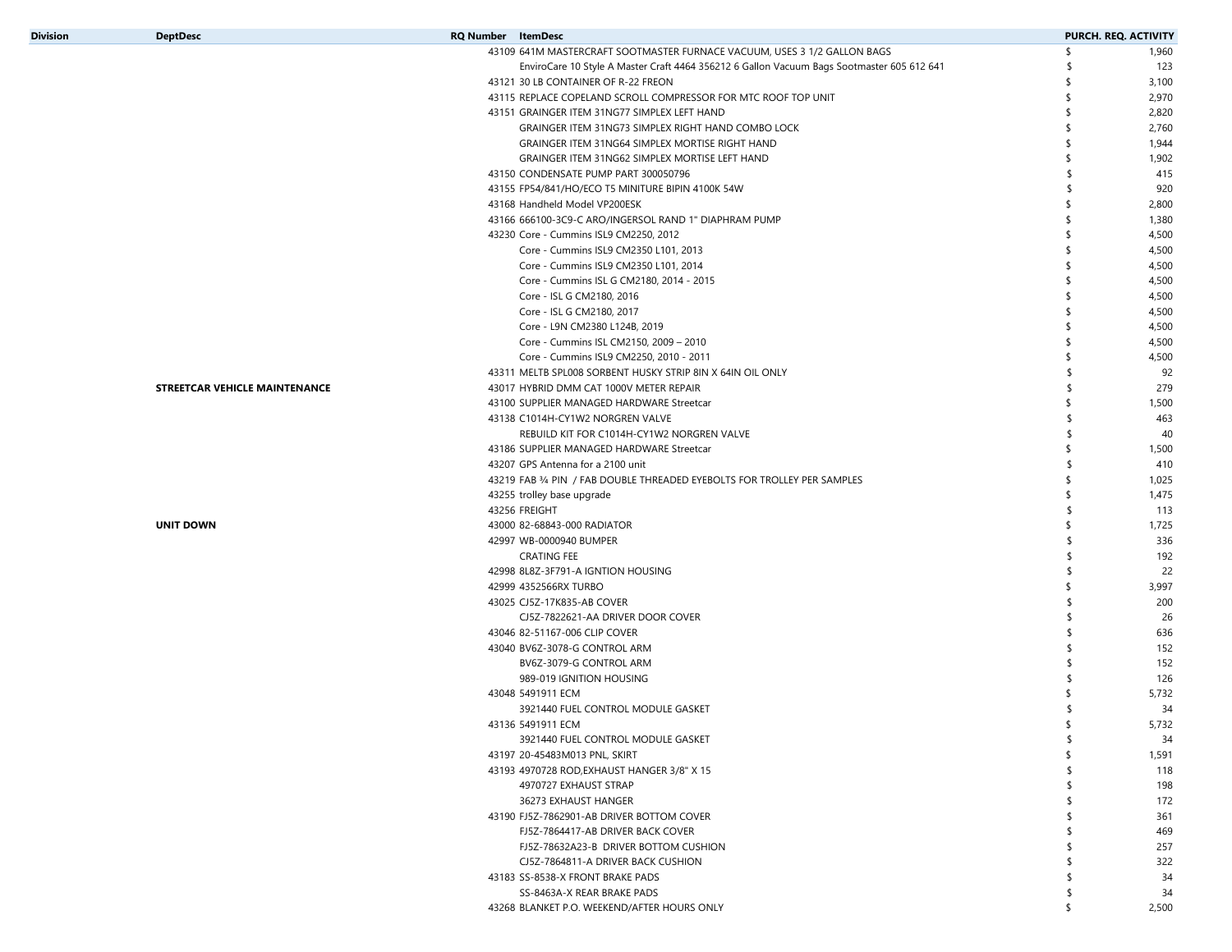| <b>Division</b> | <b>DeptDesc</b>               | <b>RQ Number</b> ItemDesc                                                                  |          | PURCH. REQ. ACTIVITY |
|-----------------|-------------------------------|--------------------------------------------------------------------------------------------|----------|----------------------|
|                 |                               | 43109 641M MASTERCRAFT SOOTMASTER FURNACE VACUUM, USES 3 1/2 GALLON BAGS                   | s.       | 1,960                |
|                 |                               | EnviroCare 10 Style A Master Craft 4464 356212 6 Gallon Vacuum Bags Sootmaster 605 612 641 | -\$      | 123                  |
|                 |                               | 43121 30 LB CONTAINER OF R-22 FREON                                                        |          | 3,100                |
|                 |                               | 43115 REPLACE COPELAND SCROLL COMPRESSOR FOR MTC ROOF TOP UNIT                             | \$       | 2,970                |
|                 |                               | 43151 GRAINGER ITEM 31NG77 SIMPLEX LEFT HAND                                               | \$       | 2,820                |
|                 |                               | GRAINGER ITEM 31NG73 SIMPLEX RIGHT HAND COMBO LOCK                                         |          | 2,760                |
|                 |                               | GRAINGER ITEM 31NG64 SIMPLEX MORTISE RIGHT HAND                                            |          | 1,944                |
|                 |                               | GRAINGER ITEM 31NG62 SIMPLEX MORTISE LEFT HAND                                             | \$       | 1,902                |
|                 |                               | 43150 CONDENSATE PUMP PART 300050796                                                       | \$       | 415                  |
|                 |                               | 43155 FP54/841/HO/ECO T5 MINITURE BIPIN 4100K 54W                                          | \$       | 920                  |
|                 |                               | 43168 Handheld Model VP200ESK                                                              | \$       | 2,800                |
|                 |                               | 43166 666100-3C9-C ARO/INGERSOL RAND 1" DIAPHRAM PUMP                                      | \$       | 1,380                |
|                 |                               | 43230 Core - Cummins ISL9 CM2250, 2012                                                     |          | 4,500                |
|                 |                               | Core - Cummins ISL9 CM2350 L101, 2013                                                      |          | 4,500                |
|                 |                               | Core - Cummins ISL9 CM2350 L101, 2014                                                      | \$       | 4,500                |
|                 |                               | Core - Cummins ISL G CM2180, 2014 - 2015                                                   |          | 4,500                |
|                 |                               | Core - ISL G CM2180, 2016                                                                  | \$.      | 4,500                |
|                 |                               | Core - ISL G CM2180, 2017                                                                  |          | 4,500                |
|                 |                               | Core - L9N CM2380 L124B, 2019                                                              | \$.      | 4,500                |
|                 |                               | Core - Cummins ISL CM2150, 2009 - 2010                                                     |          | 4,500                |
|                 |                               | Core - Cummins ISL9 CM2250, 2010 - 2011                                                    |          | 4,500                |
|                 |                               | 43311 MELTB SPL008 SORBENT HUSKY STRIP 8IN X 64IN OIL ONLY                                 | \$       | 92                   |
|                 | STREETCAR VEHICLE MAINTENANCE | 43017 HYBRID DMM CAT 1000V METER REPAIR                                                    | \$       | 279                  |
|                 |                               | 43100 SUPPLIER MANAGED HARDWARE Streetcar                                                  |          | 1,500                |
|                 |                               | 43138 C1014H-CY1W2 NORGREN VALVE                                                           | \$.      | 463                  |
|                 |                               | REBUILD KIT FOR C1014H-CY1W2 NORGREN VALVE                                                 | \$       | 40                   |
|                 |                               | 43186 SUPPLIER MANAGED HARDWARE Streetcar                                                  |          | 1,500                |
|                 |                               | 43207 GPS Antenna for a 2100 unit                                                          | -S       | 410                  |
|                 |                               | 43219 FAB 3/4 PIN / FAB DOUBLE THREADED EYEBOLTS FOR TROLLEY PER SAMPLES                   |          | 1,025                |
|                 |                               | 43255 trolley base upgrade                                                                 |          | 1,475                |
|                 |                               | 43256 FREIGHT                                                                              | \$.      | 113                  |
|                 | <b>UNIT DOWN</b>              | 43000 82-68843-000 RADIATOR                                                                |          | 1,725                |
|                 |                               | 42997 WB-0000940 BUMPER                                                                    | \$       | 336                  |
|                 |                               | <b>CRATING FEE</b>                                                                         |          | 192                  |
|                 |                               | 42998 8L8Z-3F791-A IGNTION HOUSING                                                         |          | 22                   |
|                 |                               | 42999 4352566RX TURBO                                                                      | \$       | 3,997                |
|                 |                               | 43025 CJ5Z-17K835-AB COVER                                                                 | \$.      | 200                  |
|                 |                               | CJ5Z-7822621-AA DRIVER DOOR COVER                                                          |          | 26                   |
|                 |                               | 43046 82-51167-006 CLIP COVER                                                              | \$.      | 636                  |
|                 |                               | 43040 BV6Z-3078-G CONTROL ARM                                                              |          | 152                  |
|                 |                               | BV6Z-3079-G CONTROL ARM                                                                    |          | 152                  |
|                 |                               | 989-019 IGNITION HOUSING                                                                   |          | 126                  |
|                 |                               | 43048 5491911 ECM                                                                          |          | 5,732                |
|                 |                               | 3921440 FUEL CONTROL MODULE GASKET                                                         |          | 34                   |
|                 |                               | 43136 5491911 ECM                                                                          | \$       | 5,732                |
|                 |                               | 3921440 FUEL CONTROL MODULE GASKET                                                         | \$       | 34                   |
|                 |                               | 43197 20-45483M013 PNL, SKIRT                                                              | s.       | 1,591                |
|                 |                               | 43193 4970728 ROD, EXHAUST HANGER 3/8" X 15                                                |          | 118                  |
|                 |                               | 4970727 EXHAUST STRAP                                                                      |          | 198                  |
|                 |                               | 36273 EXHAUST HANGER                                                                       |          | 172                  |
|                 |                               | 43190 FJ5Z-7862901-AB DRIVER BOTTOM COVER                                                  |          | 361                  |
|                 |                               | FJ5Z-7864417-AB DRIVER BACK COVER                                                          |          | 469                  |
|                 |                               | FJ5Z-78632A23-B DRIVER BOTTOM CUSHION                                                      |          | 257                  |
|                 |                               | CJ5Z-7864811-A DRIVER BACK CUSHION                                                         |          | 322                  |
|                 |                               | 43183 SS-8538-X FRONT BRAKE PADS                                                           |          | 34                   |
|                 |                               | SS-8463A-X REAR BRAKE PADS                                                                 | \$<br>\$ | 34                   |
|                 |                               | 43268 BLANKET P.O. WEEKEND/AFTER HOURS ONLY                                                |          | 2,500                |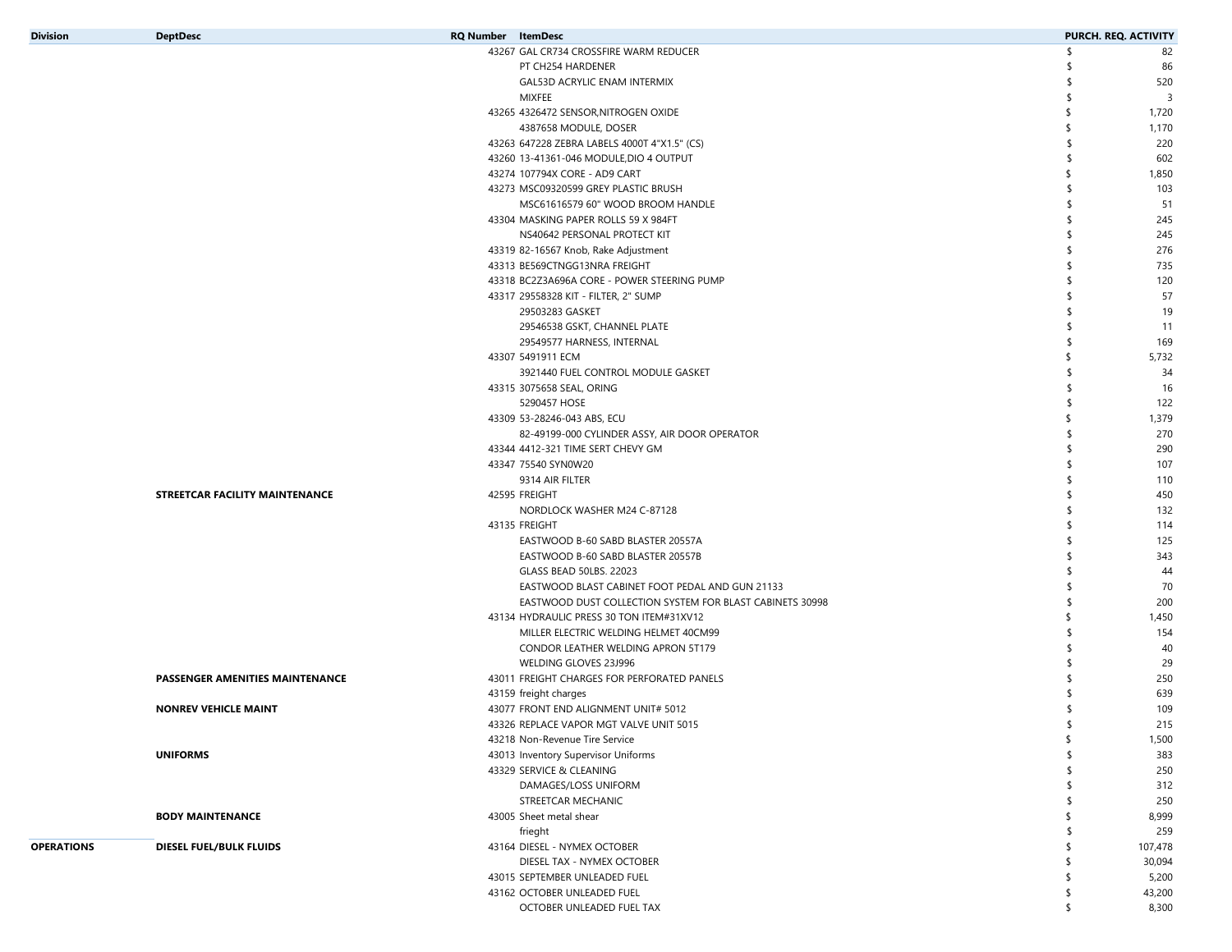| <b>Division</b>   | <b>DeptDesc</b>                 | <b>RQ Number</b> ItemDesc                                                                                   | PURCH. REQ. ACTIVITY |
|-------------------|---------------------------------|-------------------------------------------------------------------------------------------------------------|----------------------|
|                   |                                 | 43267 GAL CR734 CROSSFIRE WARM REDUCER                                                                      | 82<br>S              |
|                   |                                 | PT CH254 HARDENER                                                                                           | \$<br>86             |
|                   |                                 | GAL53D ACRYLIC ENAM INTERMIX                                                                                | 520<br>\$            |
|                   |                                 | MIXFEE                                                                                                      | 3<br>-S              |
|                   |                                 | 43265 4326472 SENSOR, NITROGEN OXIDE                                                                        | 1,720<br>\$          |
|                   |                                 | 4387658 MODULE, DOSER                                                                                       | 1,170<br>\$          |
|                   |                                 | 43263 647228 ZEBRA LABELS 4000T 4"X1.5" (CS)                                                                | 220                  |
|                   |                                 | 43260 13-41361-046 MODULE, DIO 4 OUTPUT                                                                     | 602<br>\$.           |
|                   |                                 | 43274 107794X CORE - AD9 CART                                                                               | 1,850<br>\$          |
|                   |                                 | 43273 MSC09320599 GREY PLASTIC BRUSH                                                                        | 103                  |
|                   |                                 | MSC61616579 60" WOOD BROOM HANDLE                                                                           | 51                   |
|                   |                                 | 43304 MASKING PAPER ROLLS 59 X 984FT                                                                        | 245                  |
|                   |                                 | NS40642 PERSONAL PROTECT KIT                                                                                | 245                  |
|                   |                                 | 43319 82-16567 Knob, Rake Adjustment                                                                        | 276                  |
|                   |                                 | 43313 BE569CTNGG13NRA FREIGHT                                                                               | 735                  |
|                   |                                 | 43318 BC2Z3A696A CORE - POWER STEERING PUMP                                                                 | 120                  |
|                   |                                 | 43317 29558328 KIT - FILTER, 2" SUMP                                                                        | 57                   |
|                   |                                 | 29503283 GASKET                                                                                             | 19                   |
|                   |                                 | 29546538 GSKT, CHANNEL PLATE                                                                                | 11                   |
|                   |                                 | 29549577 HARNESS, INTERNAL                                                                                  | 169<br>\$            |
|                   |                                 | 43307 5491911 ECM                                                                                           | 5,732                |
|                   |                                 | 3921440 FUEL CONTROL MODULE GASKET                                                                          | 34                   |
|                   |                                 | 43315 3075658 SEAL, ORING                                                                                   | 16<br>S              |
|                   |                                 | 5290457 HOSE                                                                                                | 122                  |
|                   |                                 | 43309 53-28246-043 ABS, ECU                                                                                 | 1,379<br>\$          |
|                   |                                 | 82-49199-000 CYLINDER ASSY, AIR DOOR OPERATOR                                                               | 270<br>S             |
|                   |                                 | 43344 4412-321 TIME SERT CHEVY GM                                                                           | 290<br>\$            |
|                   |                                 | 43347 75540 SYN0W20                                                                                         | 107                  |
|                   |                                 | 9314 AIR FILTER                                                                                             | 110<br>-S            |
|                   | STREETCAR FACILITY MAINTENANCE  | 42595 FREIGHT                                                                                               | 450                  |
|                   |                                 | NORDLOCK WASHER M24 C-87128                                                                                 | 132                  |
|                   |                                 | 43135 FREIGHT                                                                                               | 114                  |
|                   |                                 | EASTWOOD B-60 SABD BLASTER 20557A                                                                           | 125                  |
|                   |                                 | EASTWOOD B-60 SABD BLASTER 20557B                                                                           | 343<br>\$.           |
|                   |                                 | GLASS BEAD 50LBS. 22023                                                                                     | 44<br>\$             |
|                   |                                 | EASTWOOD BLAST CABINET FOOT PEDAL AND GUN 21133<br>EASTWOOD DUST COLLECTION SYSTEM FOR BLAST CABINETS 30998 | 70<br>200<br>\$      |
|                   |                                 | 43134 HYDRAULIC PRESS 30 TON ITEM#31XV12                                                                    | 1,450<br>\$          |
|                   |                                 | MILLER ELECTRIC WELDING HELMET 40CM99                                                                       | 154                  |
|                   |                                 | CONDOR LEATHER WELDING APRON 5T179                                                                          | 40                   |
|                   |                                 | WELDING GLOVES 23J996                                                                                       | 29                   |
|                   | PASSENGER AMENITIES MAINTENANCE | 43011 FREIGHT CHARGES FOR PERFORATED PANELS                                                                 | 250                  |
|                   |                                 | 43159 freight charges                                                                                       | 639                  |
|                   | <b>NONREV VEHICLE MAINT</b>     | 43077 FRONT END ALIGNMENT UNIT# 5012                                                                        | \$<br>109            |
|                   |                                 | 43326 REPLACE VAPOR MGT VALVE UNIT 5015                                                                     | \$<br>215            |
|                   |                                 | 43218 Non-Revenue Tire Service                                                                              | 1,500<br>\$          |
|                   | <b>UNIFORMS</b>                 | 43013 Inventory Supervisor Uniforms                                                                         | 383                  |
|                   |                                 | 43329 SERVICE & CLEANING                                                                                    | 250<br>\$            |
|                   |                                 | DAMAGES/LOSS UNIFORM                                                                                        | 312<br>\$            |
|                   |                                 | STREETCAR MECHANIC                                                                                          | 250<br>\$            |
|                   | <b>BODY MAINTENANCE</b>         | 43005 Sheet metal shear                                                                                     | 8,999<br>\$          |
|                   |                                 | frieght                                                                                                     | 259<br>\$            |
| <b>OPERATIONS</b> | DIESEL FUEL/BULK FLUIDS         | 43164 DIESEL - NYMEX OCTOBER                                                                                | 107,478<br>\$        |
|                   |                                 | DIESEL TAX - NYMEX OCTOBER                                                                                  | 30,094<br>\$         |
|                   |                                 | 43015 SEPTEMBER UNLEADED FUEL                                                                               | \$<br>5,200          |
|                   |                                 | 43162 OCTOBER UNLEADED FUEL                                                                                 | \$<br>43,200         |
|                   |                                 | OCTOBER UNLEADED FUEL TAX                                                                                   | \$<br>8,300          |